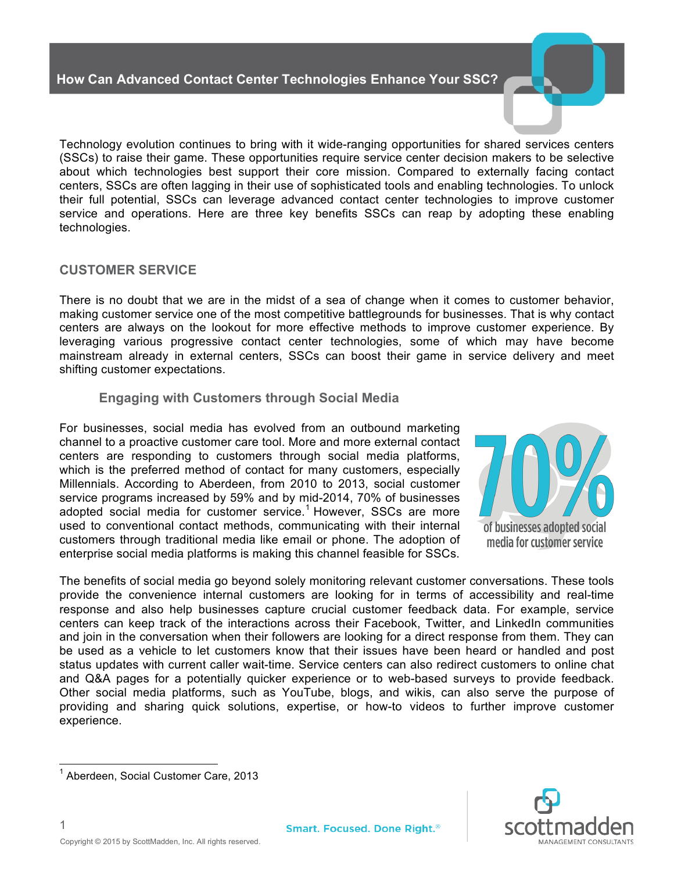Technology evolution continues to bring with it wide-ranging opportunities for shared services centers (SSCs) to raise their game. These opportunities require service center decision makers to be selective about which technologies best support their core mission. Compared to externally facing contact centers, SSCs are often lagging in their use of sophisticated tools and enabling technologies. To unlock their full potential, SSCs can leverage advanced contact center technologies to improve customer service and operations. Here are three key benefits SSCs can reap by adopting these enabling technologies.

### **CUSTOMER SERVICE**

There is no doubt that we are in the midst of a sea of change when it comes to customer behavior, making customer service one of the most competitive battlegrounds for businesses. That is why contact centers are always on the lookout for more effective methods to improve customer experience. By leveraging various progressive contact center technologies, some of which may have become mainstream already in external centers, SSCs can boost their game in service delivery and meet shifting customer expectations.

### **Engaging with Customers through Social Media**

For businesses, social media has evolved from an outbound marketing channel to a proactive customer care tool. More and more external contact centers are responding to customers through social media platforms, which is the preferred method of contact for many customers, especially Millennials. According to Aberdeen, from 2010 to 2013, social customer service programs increased by 59% and by mid-2014, 70% of businesses adopted social media for customer service. <sup>1</sup> However, SSCs are more used to conventional contact methods, communicating with their internal customers through traditional media like email or phone. The adoption of enterprise social media platforms is making this channel feasible for SSCs.



of businesses adopted social media for customer service

The benefits of social media go beyond solely monitoring relevant customer conversations. These tools provide the convenience internal customers are looking for in terms of accessibility and real-time response and also help businesses capture crucial customer feedback data. For example, service centers can keep track of the interactions across their Facebook, Twitter, and LinkedIn communities and join in the conversation when their followers are looking for a direct response from them. They can be used as a vehicle to let customers know that their issues have been heard or handled and post status updates with current caller wait-time. Service centers can also redirect customers to online chat and Q&A pages for a potentially quicker experience or to web-based surveys to provide feedback. Other social media platforms, such as YouTube, blogs, and wikis, can also serve the purpose of providing and sharing quick solutions, expertise, or how-to videos to further improve customer experience.



 <sup>1</sup> Aberdeen, Social Customer Care, 2013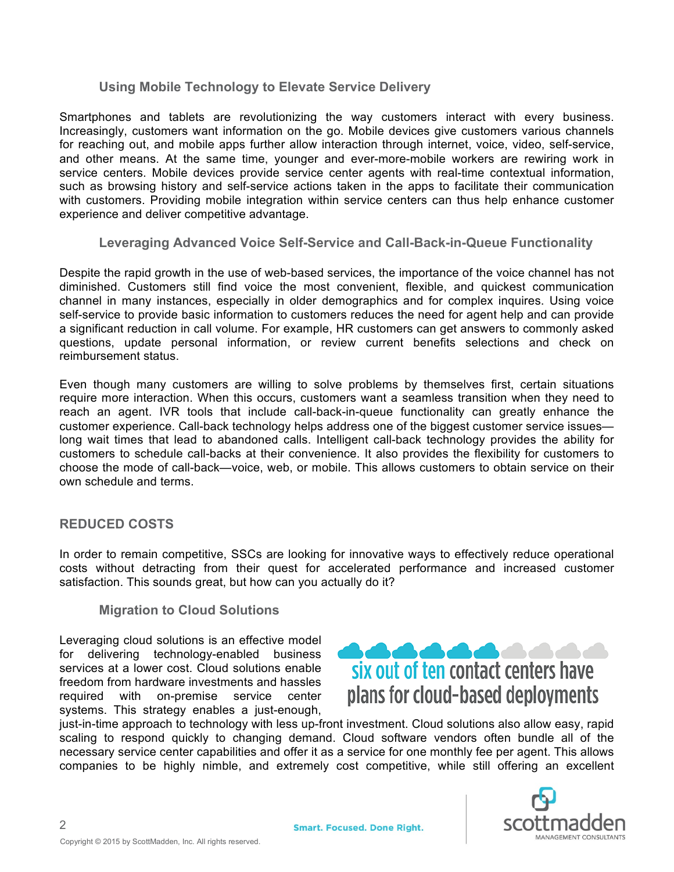## **Using Mobile Technology to Elevate Service Delivery**

Smartphones and tablets are revolutionizing the way customers interact with every business. Increasingly, customers want information on the go. Mobile devices give customers various channels for reaching out, and mobile apps further allow interaction through internet, voice, video, self-service, and other means. At the same time, younger and ever-more-mobile workers are rewiring work in service centers. Mobile devices provide service center agents with real-time contextual information, such as browsing history and self-service actions taken in the apps to facilitate their communication with customers. Providing mobile integration within service centers can thus help enhance customer experience and deliver competitive advantage.

## **Leveraging Advanced Voice Self-Service and Call-Back-in-Queue Functionality**

Despite the rapid growth in the use of web-based services, the importance of the voice channel has not diminished. Customers still find voice the most convenient, flexible, and quickest communication channel in many instances, especially in older demographics and for complex inquires. Using voice self-service to provide basic information to customers reduces the need for agent help and can provide a significant reduction in call volume. For example, HR customers can get answers to commonly asked questions, update personal information, or review current benefits selections and check on reimbursement status.

Even though many customers are willing to solve problems by themselves first, certain situations require more interaction. When this occurs, customers want a seamless transition when they need to reach an agent. IVR tools that include call-back-in-queue functionality can greatly enhance the customer experience. Call-back technology helps address one of the biggest customer service issues long wait times that lead to abandoned calls. Intelligent call-back technology provides the ability for customers to schedule call-backs at their convenience. It also provides the flexibility for customers to choose the mode of call-back—voice, web, or mobile. This allows customers to obtain service on their own schedule and terms.

## **REDUCED COSTS**

In order to remain competitive, SSCs are looking for innovative ways to effectively reduce operational costs without detracting from their quest for accelerated performance and increased customer satisfaction. This sounds great, but how can you actually do it?

### **Migration to Cloud Solutions**

Leveraging cloud solutions is an effective model for delivering technology-enabled business services at a lower cost. Cloud solutions enable freedom from hardware investments and hassles required with on-premise service center systems. This strategy enables a just-enough,



just-in-time approach to technology with less up-front investment. Cloud solutions also allow easy, rapid scaling to respond quickly to changing demand. Cloud software vendors often bundle all of the necessary service center capabilities and offer it as a service for one monthly fee per agent. This allows companies to be highly nimble, and extremely cost competitive, while still offering an excellent



2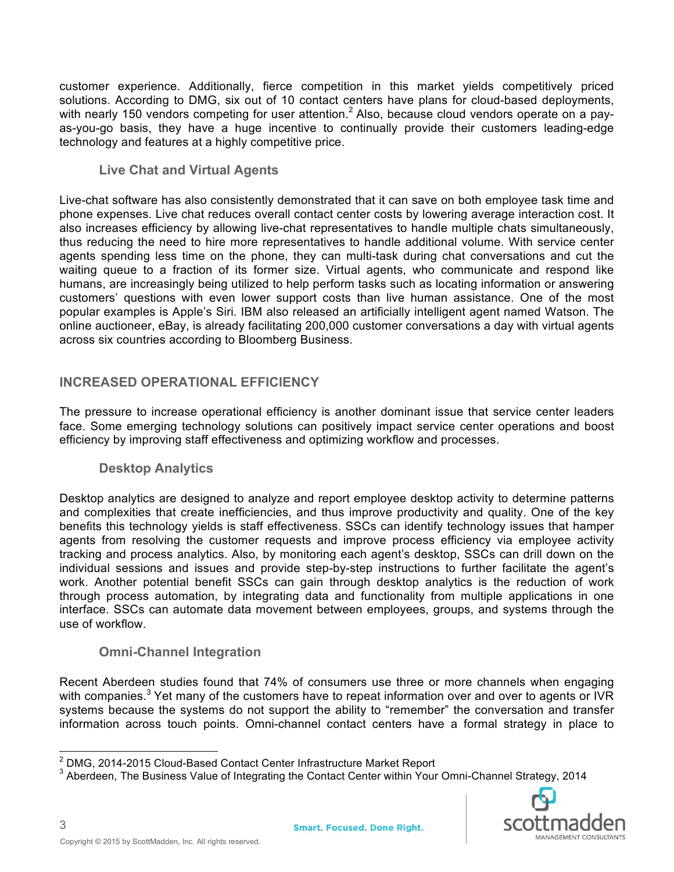customer experience. Additionally, fierce competition in this market yields competitively priced solutions. According to DMG, six out of 10 contact centers have plans for cloud-based deployments, with nearly 150 vendors competing for user attention.<sup>2</sup> Also, because cloud vendors operate on a payas-you-go basis, they have a huge incentive to continually provide their customers leading-edge technology and features at a highly competitive price.

## **Live Chat and Virtual Agents**

Live-chat software has also consistently demonstrated that it can save on both employee task time and phone expenses. Live chat reduces overall contact center costs by lowering average interaction cost. It also increases efficiency by allowing live-chat representatives to handle multiple chats simultaneously, thus reducing the need to hire more representatives to handle additional volume. With service center agents spending less time on the phone, they can multi-task during chat conversations and cut the waiting queue to a fraction of its former size. Virtual agents, who communicate and respond like humans, are increasingly being utilized to help perform tasks such as locating information or answering customers' questions with even lower support costs than live human assistance. One of the most popular examples is Apple's Siri. IBM also released an artificially intelligent agent named Watson. The online auctioneer, eBay, is already facilitating 200,000 customer conversations a day with virtual agents across six countries according to Bloomberg Business.

## **INCREASED OPERATIONAL EFFICIENCY**

The pressure to increase operational efficiency is another dominant issue that service center leaders face. Some emerging technology solutions can positively impact service center operations and boost efficiency by improving staff effectiveness and optimizing workflow and processes.

## **Desktop Analytics**

Desktop analytics are designed to analyze and report employee desktop activity to determine patterns and complexities that create inefficiencies, and thus improve productivity and quality. One of the key benefits this technology yields is staff effectiveness. SSCs can identify technology issues that hamper agents from resolving the customer requests and improve process efficiency via employee activity tracking and process analytics. Also, by monitoring each agent's desktop, SSCs can drill down on the individual sessions and issues and provide step-by-step instructions to further facilitate the agent's work. Another potential benefit SSCs can gain through desktop analytics is the reduction of work through process automation, by integrating data and functionality from multiple applications in one interface. SSCs can automate data movement between employees, groups, and systems through the use of workflow.

### **Omni-Channel Integration**

Recent Aberdeen studies found that 74% of consumers use three or more channels when engaging with companies.<sup>3</sup> Yet many of the customers have to repeat information over and over to agents or IVR systems because the systems do not support the ability to "remember" the conversation and transfer information across touch points. Omni-channel contact centers have a formal strategy in place to

<sup>&</sup>lt;sup>2</sup> DMG, 2014-2015 Cloud-Based Contact Center Infrastructure Market Report<br><sup>3</sup> Aberdeen, The Business Value of Integrating the Contact Center within Your Omni-Channel Strategy, 2014